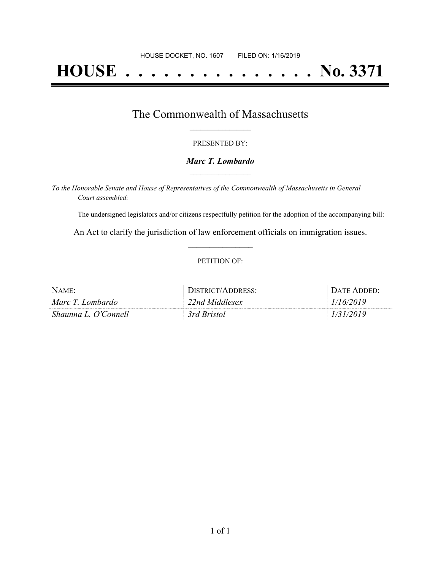# **HOUSE . . . . . . . . . . . . . . . No. 3371**

### The Commonwealth of Massachusetts **\_\_\_\_\_\_\_\_\_\_\_\_\_\_\_\_\_**

#### PRESENTED BY:

#### *Marc T. Lombardo* **\_\_\_\_\_\_\_\_\_\_\_\_\_\_\_\_\_**

*To the Honorable Senate and House of Representatives of the Commonwealth of Massachusetts in General Court assembled:*

The undersigned legislators and/or citizens respectfully petition for the adoption of the accompanying bill:

An Act to clarify the jurisdiction of law enforcement officials on immigration issues. **\_\_\_\_\_\_\_\_\_\_\_\_\_\_\_**

#### PETITION OF:

| $N$ AME:             | <b>DISTRICT/ADDRESS:</b> | DATE ADDED: |
|----------------------|--------------------------|-------------|
| Marc T. Lombardo     | 22nd Middlesex           | 1/16/2019   |
| Shaunna L. O'Connell | 3rd Bristol              | 1/31/2019   |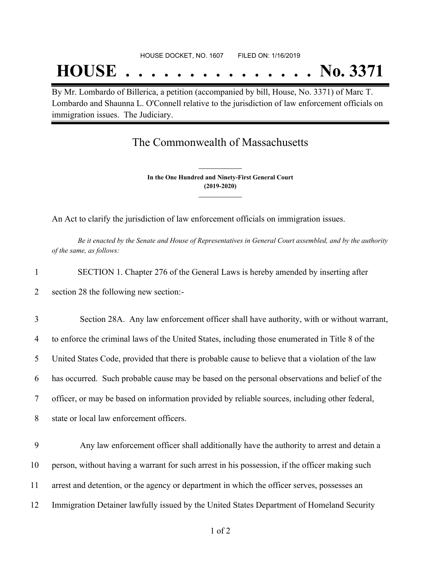# **HOUSE . . . . . . . . . . . . . . . No. 3371**

By Mr. Lombardo of Billerica, a petition (accompanied by bill, House, No. 3371) of Marc T. Lombardo and Shaunna L. O'Connell relative to the jurisdiction of law enforcement officials on immigration issues. The Judiciary.

## The Commonwealth of Massachusetts

**In the One Hundred and Ninety-First General Court (2019-2020) \_\_\_\_\_\_\_\_\_\_\_\_\_\_\_**

**\_\_\_\_\_\_\_\_\_\_\_\_\_\_\_**

An Act to clarify the jurisdiction of law enforcement officials on immigration issues.

Be it enacted by the Senate and House of Representatives in General Court assembled, and by the authority *of the same, as follows:*

- 1 SECTION 1. Chapter 276 of the General Laws is hereby amended by inserting after
- 2 section 28 the following new section:-

 Section 28A. Any law enforcement officer shall have authority, with or without warrant, to enforce the criminal laws of the United States, including those enumerated in Title 8 of the United States Code, provided that there is probable cause to believe that a violation of the law has occurred. Such probable cause may be based on the personal observations and belief of the officer, or may be based on information provided by reliable sources, including other federal, state or local law enforcement officers.

 Any law enforcement officer shall additionally have the authority to arrest and detain a person, without having a warrant for such arrest in his possession, if the officer making such arrest and detention, or the agency or department in which the officer serves, possesses an Immigration Detainer lawfully issued by the United States Department of Homeland Security